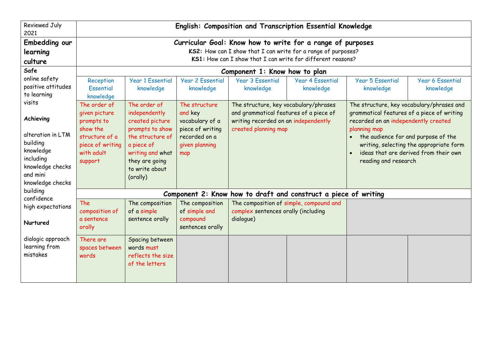| <b>Reviewed July</b><br>2021                                                                                |                                                                                                                                                                                            | English: Composition and Transcription Essential Knowledge                                                                                   |                                                                 |                                                                                                                                                 |                                                                                                                                                 |                                                                                                                                                 |                                      |  |  |  |  |
|-------------------------------------------------------------------------------------------------------------|--------------------------------------------------------------------------------------------------------------------------------------------------------------------------------------------|----------------------------------------------------------------------------------------------------------------------------------------------|-----------------------------------------------------------------|-------------------------------------------------------------------------------------------------------------------------------------------------|-------------------------------------------------------------------------------------------------------------------------------------------------|-------------------------------------------------------------------------------------------------------------------------------------------------|--------------------------------------|--|--|--|--|
| Embedding our<br>learning<br>culture                                                                        | Curricular Goal: Know how to write for a range of purposes<br>KS2: How can I show that I can write for a range of purposes?<br>KS1: How can I show that I can write for different reasons? |                                                                                                                                              |                                                                 |                                                                                                                                                 |                                                                                                                                                 |                                                                                                                                                 |                                      |  |  |  |  |
| Safe                                                                                                        |                                                                                                                                                                                            |                                                                                                                                              |                                                                 | Component 1: Know how to plan                                                                                                                   |                                                                                                                                                 |                                                                                                                                                 |                                      |  |  |  |  |
| online safety<br>positive attitudes<br>to learning                                                          | Reception<br>Essential<br>knowledge                                                                                                                                                        | <b>Year 1 Essential</b><br>knowledge                                                                                                         | <b>Year 2 Essential</b><br>knowledge                            | <b>Year 3 Essential</b><br>knowledge                                                                                                            | <b>Year 4 Essential</b><br>knowledge                                                                                                            | <b>Year 5 Essential</b><br>knowledge                                                                                                            | <b>Year 6 Essential</b><br>knowledge |  |  |  |  |
| visits<br>Achieving                                                                                         | The order of<br>given picture<br>prompts to<br>show the                                                                                                                                    | The order of<br>independently<br>created picture<br>prompts to show                                                                          | The structure<br>and key<br>vocabulary of a<br>piece of writing | The structure, key vocabulary/phrases<br>and grammatical features of a piece of<br>writing recorded on an independently<br>created planning map |                                                                                                                                                 | The structure, key vocabulary/phrases and<br>grammatical features of a piece of writing<br>recorded on an independently created<br>planning map |                                      |  |  |  |  |
| alteration in LTM<br>building<br>knowledge<br>including<br>knowledge checks<br>and mini<br>knowledge checks | structure of a<br>piece of writing<br>with adult<br>support                                                                                                                                | the structure of<br>recorded on a<br>given planning<br>a piece of<br>writing and what<br>map<br>they are going<br>to write about<br>(orally) |                                                                 |                                                                                                                                                 | the audience for and purpose of the<br>writing, selecting the appropriate form<br>ideas that are derived from their own<br>reading and research |                                                                                                                                                 |                                      |  |  |  |  |
| building<br>confidence                                                                                      |                                                                                                                                                                                            |                                                                                                                                              |                                                                 |                                                                                                                                                 | Component 2: Know how to draft and construct a piece of writing                                                                                 |                                                                                                                                                 |                                      |  |  |  |  |
| high expectations                                                                                           | <b>The</b><br>composition of<br>a sentence                                                                                                                                                 | The composition<br>of a simple<br>sentence orally                                                                                            | The composition<br>of simple and<br>compound                    | The composition of simple, compound and<br>complex sentences orally (including<br>dialogue)                                                     |                                                                                                                                                 |                                                                                                                                                 |                                      |  |  |  |  |
| Nurtured                                                                                                    | orally                                                                                                                                                                                     |                                                                                                                                              | sentences orally                                                |                                                                                                                                                 |                                                                                                                                                 |                                                                                                                                                 |                                      |  |  |  |  |
| dialogic approach<br>learning from<br>mistakes                                                              | There are<br>spaces between<br>words                                                                                                                                                       | Spacing between<br>words must<br>reflects the size<br>of the letters                                                                         |                                                                 |                                                                                                                                                 |                                                                                                                                                 |                                                                                                                                                 |                                      |  |  |  |  |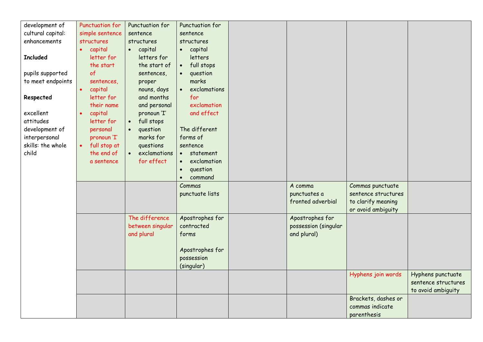| development of    | Punctuation for           | Punctuation for           | Punctuation for           |                      |                     |                     |
|-------------------|---------------------------|---------------------------|---------------------------|----------------------|---------------------|---------------------|
| cultural capital: | simple sentence           | sentence                  | sentence                  |                      |                     |                     |
| enhancements      | structures                | structures                | structures                |                      |                     |                     |
|                   | capital<br>$\bullet$      | capital<br>$\bullet$      | capital<br>$\bullet$      |                      |                     |                     |
| <b>Included</b>   | letter for                | letters for               | letters                   |                      |                     |                     |
|                   | the start                 | the start of              | full stops<br>$\bullet$   |                      |                     |                     |
| pupils supported  | of                        | sentences,                | question<br>$\bullet$     |                      |                     |                     |
| to meet endpoints | sentences,                | proper                    | marks                     |                      |                     |                     |
|                   | capital<br>$\bullet$      | nouns, days               | exclamations<br>$\bullet$ |                      |                     |                     |
| Respected         | letter for                | and months                | for                       |                      |                     |                     |
|                   | their name                | and personal              | exclamation               |                      |                     |                     |
| excellent         | capital<br>$\bullet$      | pronoun 'I'               | and effect                |                      |                     |                     |
| attitudes         | letter for                | full stops<br>$\bullet$   |                           |                      |                     |                     |
| development of    | personal                  | question<br>$\bullet$     | The different             |                      |                     |                     |
| interpersonal     | pronoun 'I'               | marks for                 | forms of                  |                      |                     |                     |
| skills: the whole | full stop at<br>$\bullet$ | questions                 | sentence                  |                      |                     |                     |
| child             | the end of                | exclamations<br>$\bullet$ | statement<br>$\bullet$    |                      |                     |                     |
|                   | a sentence                | for effect                | exclamation<br>$\bullet$  |                      |                     |                     |
|                   |                           |                           | question<br>$\bullet$     |                      |                     |                     |
|                   |                           |                           | command<br>$\bullet$      |                      |                     |                     |
|                   |                           |                           | Commas                    | A comma              | Commas punctuate    |                     |
|                   |                           |                           | punctuate lists           | punctuates a         | sentence structures |                     |
|                   |                           |                           |                           | fronted adverbial    | to clarify meaning  |                     |
|                   |                           |                           |                           |                      | or avoid ambiguity  |                     |
|                   |                           | The difference            | Apostrophes for           | Apostrophes for      |                     |                     |
|                   |                           | between singular          | contracted                | possession (singular |                     |                     |
|                   |                           | and plural                | forms                     | and plural)          |                     |                     |
|                   |                           |                           |                           |                      |                     |                     |
|                   |                           |                           | Apostrophes for           |                      |                     |                     |
|                   |                           |                           | possession                |                      |                     |                     |
|                   |                           |                           | (singular)                |                      |                     |                     |
|                   |                           |                           |                           |                      | Hyphens join words  | Hyphens punctuate   |
|                   |                           |                           |                           |                      |                     | sentence structures |
|                   |                           |                           |                           |                      |                     | to avoid ambiguity  |
|                   |                           |                           |                           |                      | Brackets, dashes or |                     |
|                   |                           |                           |                           |                      | commas indicate     |                     |
|                   |                           |                           |                           |                      | parenthesis         |                     |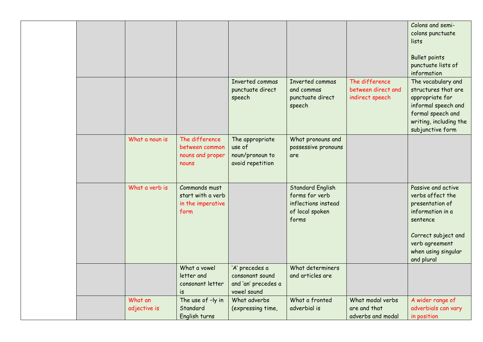|  |                |                   |                     |                         |                    | Colons and semi-       |
|--|----------------|-------------------|---------------------|-------------------------|--------------------|------------------------|
|  |                |                   |                     |                         |                    | colons punctuate       |
|  |                |                   |                     |                         |                    | lists                  |
|  |                |                   |                     |                         |                    |                        |
|  |                |                   |                     |                         |                    | <b>Bullet points</b>   |
|  |                |                   |                     |                         |                    | punctuate lists of     |
|  |                |                   |                     |                         |                    | information            |
|  |                |                   | Inverted commas     | Inverted commas         | The difference     | The vocabulary and     |
|  |                |                   | punctuate direct    | and commas              | between direct and | structures that are    |
|  |                |                   | speech              | punctuate direct        | indirect speech    | appropriate for        |
|  |                |                   |                     | speech                  |                    | informal speech and    |
|  |                |                   |                     |                         |                    | formal speech and      |
|  |                |                   |                     |                         |                    | writing, including the |
|  |                |                   |                     |                         |                    | subjunctive form       |
|  | What a noun is | The difference    | The appropriate     | What pronouns and       |                    |                        |
|  |                | between common    | use of              | possessive pronouns     |                    |                        |
|  |                | nouns and proper  | noun/pronoun to     | are                     |                    |                        |
|  |                | nouns             | avoid repetition    |                         |                    |                        |
|  |                |                   |                     |                         |                    |                        |
|  |                |                   |                     |                         |                    |                        |
|  | What a verb is | Commands must     |                     | <b>Standard English</b> |                    | Passive and active     |
|  |                | start with a verb |                     | forms for verb          |                    | verbs affect the       |
|  |                | in the imperative |                     | inflections instead     |                    | presentation of        |
|  |                | form              |                     | of local spoken         |                    | information in a       |
|  |                |                   |                     | forms                   |                    | sentence               |
|  |                |                   |                     |                         |                    |                        |
|  |                |                   |                     |                         |                    | Correct subject and    |
|  |                |                   |                     |                         |                    | verb agreement         |
|  |                |                   |                     |                         |                    | when using singular    |
|  |                |                   |                     |                         |                    | and plural             |
|  |                | What a vowel      | 'A' precedes a      | What determiners        |                    |                        |
|  |                | letter and        | consonant sound     | and articles are        |                    |                        |
|  |                | consonant letter  | and 'an' precedes a |                         |                    |                        |
|  |                | is                | vowel sound         |                         |                    |                        |
|  | What an        | The use of -ly in | What adverbs        | What a fronted          | What modal verbs   | A wider range of       |
|  | adjective is   | Standard          | (expressing time,   | adverbial is            | are and that       | adverbials can vary    |
|  |                | English turns     |                     |                         | adverbs and modal  | in position            |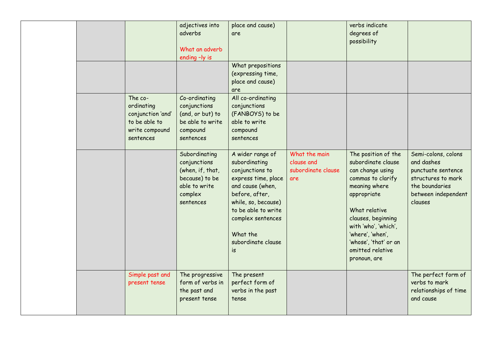|  |                                                                                            | adjectives into<br>adverbs<br>What an adverb                                                                 | place and cause)<br>are                                                                                                                                                                                                      |                                                          | verbs indicate<br>degrees of<br>possibility                                                                                                                                                                                                                        |                                                                                                                                   |
|--|--------------------------------------------------------------------------------------------|--------------------------------------------------------------------------------------------------------------|------------------------------------------------------------------------------------------------------------------------------------------------------------------------------------------------------------------------------|----------------------------------------------------------|--------------------------------------------------------------------------------------------------------------------------------------------------------------------------------------------------------------------------------------------------------------------|-----------------------------------------------------------------------------------------------------------------------------------|
|  |                                                                                            | ending -ly is                                                                                                | What prepositions<br>(expressing time,<br>place and cause)                                                                                                                                                                   |                                                          |                                                                                                                                                                                                                                                                    |                                                                                                                                   |
|  | The co-<br>ordinating<br>conjunction 'and'<br>to be able to<br>write compound<br>sentences | Co-ordinating<br>conjunctions<br>(and, or but) to<br>be able to write<br>compound<br>sentences               | are<br>All co-ordinating<br>conjunctions<br>(FANBOYS) to be<br>able to write<br>compound<br>sentences                                                                                                                        |                                                          |                                                                                                                                                                                                                                                                    |                                                                                                                                   |
|  |                                                                                            | Subordinating<br>conjunctions<br>(when, if, that,<br>because) to be<br>able to write<br>complex<br>sentences | A wider range of<br>subordinating<br>conjunctions to<br>express time, place<br>and cause (when,<br>before, after,<br>while, so, because)<br>to be able to write<br>complex sentences<br>What the<br>subordinate clause<br>is | What the main<br>clause and<br>subordinate clause<br>are | The position of the<br>subordinate clause<br>can change using<br>commas to clarify<br>meaning where<br>appropriate<br>What relative<br>clauses, beginning<br>with 'who', 'which',<br>'where', 'when',<br>'whose', 'that' or an<br>omitted relative<br>pronoun, are | Semi-colons, colons<br>and dashes<br>punctuate sentence<br>structures to mark<br>the boundaries<br>between independent<br>clauses |
|  | Simple past and<br>present tense                                                           | The progressive<br>form of verbs in<br>the past and<br>present tense                                         | The present<br>perfect form of<br>verbs in the past<br>tense                                                                                                                                                                 |                                                          |                                                                                                                                                                                                                                                                    | The perfect form of<br>verbs to mark<br>relationships of time<br>and cause                                                        |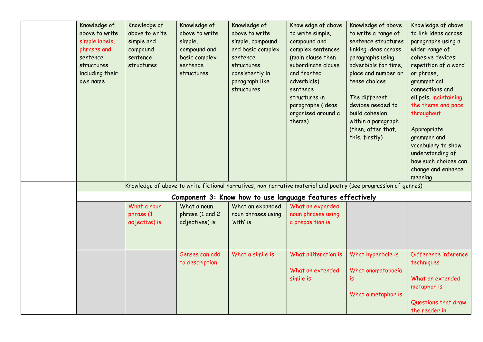| Knowledge of<br>above to write<br>simple labels,<br>phrases and<br>sentence<br>structures<br>including their | Knowledge of<br>above to write<br>simple and<br>compound<br>sentence<br>structures | Knowledge of<br>above to write<br>simple,<br>compound and<br>basic complex<br>sentence<br>structures | Knowledge of<br>above to write<br>simple, compound<br>and basic complex<br>sentence<br>structures<br>consistently in | Knowledge of above<br>to write simple,<br>compound and<br>complex sentences<br>(main clause then<br>subordinate clause<br>and fronted<br>adverbials) | Knowledge of above<br>to write a range of<br>sentence structures<br>linking ideas across<br>paragraphs using<br>adverbials for time,<br>place and number or<br>tense choices | Knowledge of above<br>to link ideas across<br>paragraphs using a<br>wider range of<br>cohesive devices:<br>repetition of a word<br>or phrase,<br>grammatical                                                  |
|--------------------------------------------------------------------------------------------------------------|------------------------------------------------------------------------------------|------------------------------------------------------------------------------------------------------|----------------------------------------------------------------------------------------------------------------------|------------------------------------------------------------------------------------------------------------------------------------------------------|------------------------------------------------------------------------------------------------------------------------------------------------------------------------------|---------------------------------------------------------------------------------------------------------------------------------------------------------------------------------------------------------------|
| own name                                                                                                     |                                                                                    |                                                                                                      | paragraph like<br>structures                                                                                         | sentence<br>structures in<br>paragraphs (ideas<br>organised around a<br>theme)                                                                       | The different<br>devices needed to<br>build cohesion<br>within a paragraph<br>(then, after that,<br>this, firstly)                                                           | connections and<br>ellipsis, maintaining<br>the theme and pace<br>throughout<br>Appropriate<br>grammar and<br>vocabulary to show<br>understanding of<br>how such choices can<br>change and enhance<br>meaning |
|                                                                                                              |                                                                                    |                                                                                                      |                                                                                                                      |                                                                                                                                                      | Knowledge of above to write fictional narratives, non-narrative material and poetry (see progression of genres)                                                              |                                                                                                                                                                                                               |
|                                                                                                              |                                                                                    |                                                                                                      |                                                                                                                      | Component 3: Know how to use language features effectively                                                                                           |                                                                                                                                                                              |                                                                                                                                                                                                               |
|                                                                                                              | What a noun<br>phrase (1<br>adjective) is                                          | What a noun<br>phrase (1 and 2<br>adjectives) is                                                     | What an expanded<br>noun phrases using<br>'with' is                                                                  | What an expanded<br>noun phrases using<br>a preposition is                                                                                           |                                                                                                                                                                              |                                                                                                                                                                                                               |
|                                                                                                              |                                                                                    | Senses can add<br>to description                                                                     | What a simile is                                                                                                     | What alliteration is<br>What an extended<br>simile is                                                                                                | What hyperbole is<br>What onomatopoeia<br>is<br>What a metaphor is                                                                                                           | Difference inference<br>techniques<br>What an extended<br>metaphor is<br>Questions that draw<br>the reader in                                                                                                 |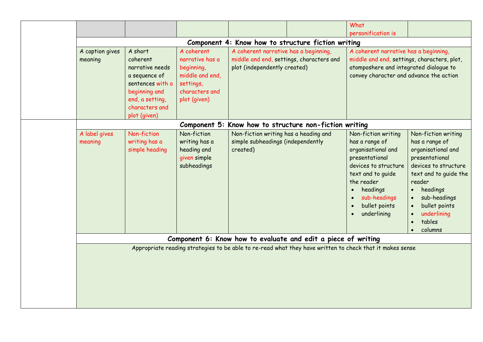|                            |                                                                                                                                   |                                                                                                               |                                                                                                                   | What                                                                                                                                                                                                 |                                                                                                                                                                                                                                          |  |
|----------------------------|-----------------------------------------------------------------------------------------------------------------------------------|---------------------------------------------------------------------------------------------------------------|-------------------------------------------------------------------------------------------------------------------|------------------------------------------------------------------------------------------------------------------------------------------------------------------------------------------------------|------------------------------------------------------------------------------------------------------------------------------------------------------------------------------------------------------------------------------------------|--|
|                            |                                                                                                                                   |                                                                                                               |                                                                                                                   | personification is                                                                                                                                                                                   |                                                                                                                                                                                                                                          |  |
|                            |                                                                                                                                   |                                                                                                               | Component 4: Know how to structure fiction writing                                                                |                                                                                                                                                                                                      |                                                                                                                                                                                                                                          |  |
| A caption gives<br>meaning | A short<br>coherent<br>narrative needs<br>a sequence of<br>sentences with a<br>beginning and<br>end, a setting,<br>characters and | A coherent<br>narrative has a<br>beginning,<br>middle and end,<br>settings,<br>characters and<br>plot (given) | A coherent narrative has a beginning,<br>middle and end, settings, characters and<br>plot (independently created) | A coherent narrative has a beginning,<br>middle and end, settings, characters, plot,<br>atomposhere and integrated dialogue to<br>convey character and advance the action                            |                                                                                                                                                                                                                                          |  |
|                            | plot (given)                                                                                                                      | Component 5:                                                                                                  | Know how to structure non-fiction writing                                                                         |                                                                                                                                                                                                      |                                                                                                                                                                                                                                          |  |
| A label gives<br>meaning   | Non-fiction<br>writing has a<br>simple heading                                                                                    | Non-fiction<br>writing has a<br>heading and<br>given simple<br>subheadings                                    | Non-fiction writing has a heading and<br>simple subheadings (independently<br>created)                            | Non-fiction writing<br>has a range of<br>organisational and<br>presentational<br>devices to structure<br>text and to guide<br>the reader<br>headings<br>sub-headings<br>bullet points<br>underlining | Non-fiction writing<br>has a range of<br>organisational and<br>presentational<br>devices to structure<br>text and to guide the<br>reader<br>headings<br>sub-headings<br>bullet points<br>$\bullet$<br>underlining<br>tables<br>$\bullet$ |  |
|                            |                                                                                                                                   |                                                                                                               | Component 6: Know how to evaluate and edit a piece of writing                                                     |                                                                                                                                                                                                      | columns<br>$\bullet$                                                                                                                                                                                                                     |  |
|                            |                                                                                                                                   |                                                                                                               |                                                                                                                   | Appropriate reading strategies to be able to re-read what they have written to check that it makes sense                                                                                             |                                                                                                                                                                                                                                          |  |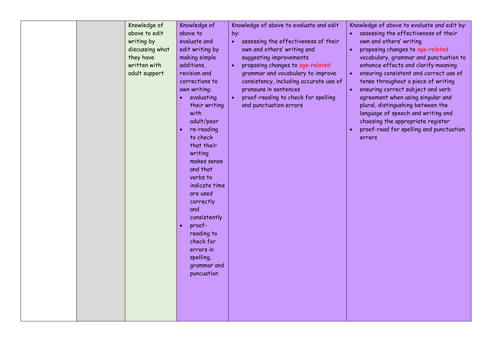| Knowledge of<br>above to edit<br>writing by<br>discussing what<br>they have<br>written with<br>adult support | Knowledge of<br>above to<br>evaluate and<br>edit writing by<br>making simple<br>additions,<br>revision and<br>corrections to<br>own writing:<br>evaluating<br>their writing<br>with<br>adult/peer<br>re-reading<br>to check<br>that their<br>writing<br>makes sense<br>and that<br>verbs to<br>indicate time<br>are used<br>correctly<br>and<br>consistently<br>proof-<br>$\bullet$<br>reading to<br>check for<br>errors in<br>spelling,<br>grammar and<br>puncuation | Knowledge of above to evaluate and edit<br>by:<br>assessing the effectiveness of their<br>$\bullet$<br>own and others' writing and<br>suggesting improvements<br>proposing changes to age-related<br>grammar and vocabulary to improve<br>consistency, including accurate use of<br>pronouns in sentences<br>proof-reading to check for spelling<br>$\bullet$<br>and punctuation errors | Knowledge of above to evaluate and edit by:<br>assessing the effectiveness of their<br>$\bullet$<br>own and others' writing<br>proposing changes to age-related<br>$\bullet$<br>vocabulary, grammar and punctuation to<br>enhance effects and clarify meaning<br>ensuring consistent and correct use of<br>$\bullet$<br>tense throughout a piece of writing<br>ensuring correct subject and verb<br>$\bullet$<br>agreement when using singular and<br>plural, distingushing between the<br>language of speech and writing and<br>choosing the appropriate register<br>proof-read for spelling and punctuation<br>errors |
|--------------------------------------------------------------------------------------------------------------|-----------------------------------------------------------------------------------------------------------------------------------------------------------------------------------------------------------------------------------------------------------------------------------------------------------------------------------------------------------------------------------------------------------------------------------------------------------------------|-----------------------------------------------------------------------------------------------------------------------------------------------------------------------------------------------------------------------------------------------------------------------------------------------------------------------------------------------------------------------------------------|-------------------------------------------------------------------------------------------------------------------------------------------------------------------------------------------------------------------------------------------------------------------------------------------------------------------------------------------------------------------------------------------------------------------------------------------------------------------------------------------------------------------------------------------------------------------------------------------------------------------------|
|--------------------------------------------------------------------------------------------------------------|-----------------------------------------------------------------------------------------------------------------------------------------------------------------------------------------------------------------------------------------------------------------------------------------------------------------------------------------------------------------------------------------------------------------------------------------------------------------------|-----------------------------------------------------------------------------------------------------------------------------------------------------------------------------------------------------------------------------------------------------------------------------------------------------------------------------------------------------------------------------------------|-------------------------------------------------------------------------------------------------------------------------------------------------------------------------------------------------------------------------------------------------------------------------------------------------------------------------------------------------------------------------------------------------------------------------------------------------------------------------------------------------------------------------------------------------------------------------------------------------------------------------|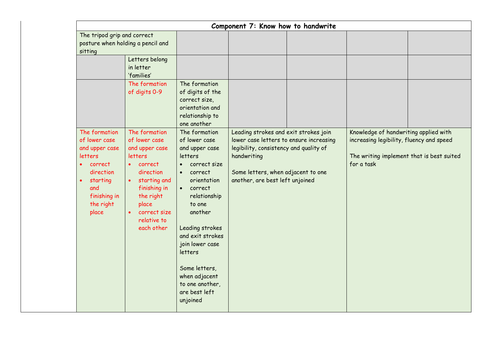|                                                                                                                                                           | Component 7: Know how to handwrite                                                                                                                                                     |                                                                                                                                                                                                                                                                                                                             |                                                                                                                                                                                                                    |                                                                                                                                              |  |  |  |  |  |  |
|-----------------------------------------------------------------------------------------------------------------------------------------------------------|----------------------------------------------------------------------------------------------------------------------------------------------------------------------------------------|-----------------------------------------------------------------------------------------------------------------------------------------------------------------------------------------------------------------------------------------------------------------------------------------------------------------------------|--------------------------------------------------------------------------------------------------------------------------------------------------------------------------------------------------------------------|----------------------------------------------------------------------------------------------------------------------------------------------|--|--|--|--|--|--|
| The tripod grip and correct<br>sitting                                                                                                                    | posture when holding a pencil and                                                                                                                                                      |                                                                                                                                                                                                                                                                                                                             |                                                                                                                                                                                                                    |                                                                                                                                              |  |  |  |  |  |  |
|                                                                                                                                                           | Letters belong<br>in letter<br>'families'                                                                                                                                              |                                                                                                                                                                                                                                                                                                                             |                                                                                                                                                                                                                    |                                                                                                                                              |  |  |  |  |  |  |
|                                                                                                                                                           | The formation<br>of digits 0-9                                                                                                                                                         | The formation<br>of digits of the<br>correct size,<br>orientation and<br>relationship to<br>one another                                                                                                                                                                                                                     |                                                                                                                                                                                                                    |                                                                                                                                              |  |  |  |  |  |  |
| The formation<br>of lower case<br>and upper case<br>letters<br>correct<br>direction<br>starting<br>$\bullet$<br>and<br>finishing in<br>the right<br>place | The formation<br>of lower case<br>and upper case<br>letters<br>correct<br>direction<br>starting and<br>finishing in<br>the right<br>place<br>correct size<br>relative to<br>each other | The formation<br>of lower case<br>and upper case<br>letters<br>correct size<br>correct<br>$\bullet$<br>orientation<br>• correct<br>relationship<br>to one<br>another<br>Leading strokes<br>and exit strokes<br>join lower case<br>letters<br>Some letters,<br>when adjacent<br>to one another,<br>are best left<br>unjoined | Leading strokes and exit strokes join<br>lower case letters to ensure increasing<br>legibility, consistency and quality of<br>handwriting<br>Some letters, when adjacent to one<br>another, are best left unjoined | Knowledge of handwriting applied with<br>increasing legibility, fluency and speed<br>The writing implement that is best suited<br>for a task |  |  |  |  |  |  |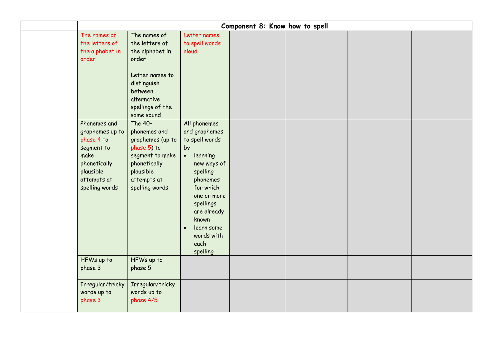|                                                                                                                                   |                                                                                                                                                          |                                                                                                                                                                                                                                                     | Component 8: Know how to spell |  |  |
|-----------------------------------------------------------------------------------------------------------------------------------|----------------------------------------------------------------------------------------------------------------------------------------------------------|-----------------------------------------------------------------------------------------------------------------------------------------------------------------------------------------------------------------------------------------------------|--------------------------------|--|--|
| The names of<br>the letters of<br>the alphabet in<br>order                                                                        | The names of<br>the letters of<br>the alphabet in<br>order<br>Letter names to<br>distinguish<br>between<br>alternative<br>spellings of the<br>same sound | Letter names<br>to spell words<br>aloud                                                                                                                                                                                                             |                                |  |  |
| Phonemes and<br>graphemes up to<br>phase 4 to<br>segment to<br>make<br>phonetically<br>plausible<br>attempts at<br>spelling words | The 40+<br>phonemes and<br>graphemes (up to<br>phase 5) to<br>segment to make<br>phonetically<br>plausible<br>attempts at<br>spelling words              | All phonemes<br>and graphemes<br>to spell words<br>by<br>learning<br>$\bullet$<br>new ways of<br>spelling<br>phonemes<br>for which<br>one or more<br>spellings<br>are already<br>known<br>learn some<br>$\bullet$<br>words with<br>each<br>spelling |                                |  |  |
| HFWs up to<br>phase 3                                                                                                             | HFWs up to<br>phase 5                                                                                                                                    |                                                                                                                                                                                                                                                     |                                |  |  |
| Irregular/tricky<br>words up to<br>phase 3                                                                                        | Irregular/tricky<br>words up to<br>phase 4/5                                                                                                             |                                                                                                                                                                                                                                                     |                                |  |  |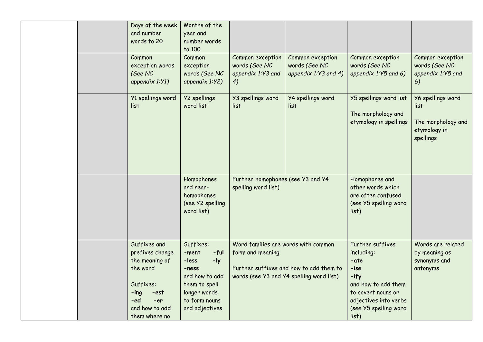|  | Days of the week<br>and number<br>words to 20                                                                                 | Months of the<br>year and<br>number words<br>to 100                                                                                           |                                                              |                                                                                     |                                                                                                                                                       |                                                                              |
|--|-------------------------------------------------------------------------------------------------------------------------------|-----------------------------------------------------------------------------------------------------------------------------------------------|--------------------------------------------------------------|-------------------------------------------------------------------------------------|-------------------------------------------------------------------------------------------------------------------------------------------------------|------------------------------------------------------------------------------|
|  | Common<br>exception words<br>(See NC<br>appendix $1:Y1$ )                                                                     | Common<br>exception<br>words (See NC<br>appendix 1:Y2)                                                                                        | Common exception<br>words (See NC<br>appendix 1:Y3 and<br>4) | Common exception<br>words (See NC<br>appendix $1:Y3$ and 4)                         | Common exception<br>words (See NC<br>appendix 1:Y5 and 6)                                                                                             | Common exception<br>words (See NC<br>appendix 1:Y5 and<br>6)                 |
|  | Y1 spellings word<br>list                                                                                                     | Y2 spellings<br>word list                                                                                                                     | Y3 spellings word<br>list                                    | <b>Y4 spellings word</b><br>list                                                    | Y5 spellings word list<br>The morphology and<br>etymology in spellings                                                                                | Y6 spellings word<br>list<br>The morphology and<br>etymology in<br>spellings |
|  |                                                                                                                               | Homophones<br>and near-<br>homophones<br>(see Y2 spelling<br>word list)                                                                       | Further homophones (see Y3 and Y4<br>spelling word list)     |                                                                                     | Homophones and<br>other words which<br>are often confused<br>(see Y5 spelling word<br>list)                                                           |                                                                              |
|  | Suffixes and<br>prefixes change<br>the meaning of<br>the word<br>Suffixes:<br>$-$ ing<br>-est<br>-ed<br>-er<br>and how to add | Suffixes:<br>$-ful$<br>-ment<br>$-1y$<br>-less<br>-ness<br>and how to add<br>them to spell<br>longer words<br>to form nouns<br>and adjectives | Word families are words with common<br>form and meaning      | Further suffixes and how to add them to<br>words (see Y3 and Y4 spelling word list) | Further suffixes<br>including:<br>-ate<br>-ise<br>-ify<br>and how to add them<br>to covert nouns or<br>adjectives into verbs<br>(see Y5 spelling word | Words are related<br>by meaning as<br>synonyms and<br>antonyms               |
|  | them where no                                                                                                                 |                                                                                                                                               |                                                              |                                                                                     | list)                                                                                                                                                 |                                                                              |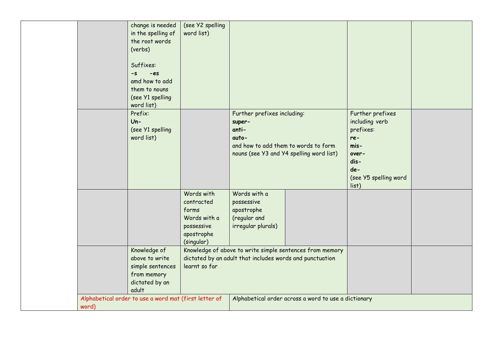|       | change is needed                                      | (see Y2 spelling |                                                          |                                                          |                       |  |
|-------|-------------------------------------------------------|------------------|----------------------------------------------------------|----------------------------------------------------------|-----------------------|--|
|       | in the spelling of                                    | word list)       |                                                          |                                                          |                       |  |
|       | the root words                                        |                  |                                                          |                                                          |                       |  |
|       | (verbs)                                               |                  |                                                          |                                                          |                       |  |
|       |                                                       |                  |                                                          |                                                          |                       |  |
|       | Suffixes:                                             |                  |                                                          |                                                          |                       |  |
|       | $-es$<br>$-S$                                         |                  |                                                          |                                                          |                       |  |
|       | amd how to add                                        |                  |                                                          |                                                          |                       |  |
|       | them to nouns                                         |                  |                                                          |                                                          |                       |  |
|       | (see Y1 spelling<br>word list)                        |                  |                                                          |                                                          |                       |  |
|       | Prefix:                                               |                  | Further prefixes including:                              |                                                          | Further prefixes      |  |
|       | $Un -$                                                |                  | super-                                                   |                                                          | including verb        |  |
|       | (see Y1 spelling                                      |                  | anti-                                                    |                                                          | prefixes:             |  |
|       | word list)                                            |                  | auto-                                                    |                                                          | re-                   |  |
|       |                                                       |                  | and how to add them to words to form                     |                                                          | mis-                  |  |
|       |                                                       |                  |                                                          | nouns (see Y3 and Y4 spelling word list)                 | over-                 |  |
|       |                                                       |                  |                                                          |                                                          | dis-                  |  |
|       |                                                       |                  |                                                          |                                                          | de-                   |  |
|       |                                                       |                  |                                                          |                                                          | (see Y5 spelling word |  |
|       |                                                       |                  |                                                          |                                                          | list)                 |  |
|       |                                                       | Words with       | Words with a                                             |                                                          |                       |  |
|       |                                                       | contracted       | possessive                                               |                                                          |                       |  |
|       |                                                       | forms            | apostrophe                                               |                                                          |                       |  |
|       |                                                       | Words with a     | (regular and                                             |                                                          |                       |  |
|       |                                                       | possessive       | irregular plurals)                                       |                                                          |                       |  |
|       |                                                       | apostrophe       |                                                          |                                                          |                       |  |
|       |                                                       | (singular)       |                                                          |                                                          |                       |  |
|       | Knowledge of                                          |                  |                                                          | Knowledge of above to write simple sentences from memory |                       |  |
|       | above to write                                        |                  | dictated by an adult that includes words and punctuation |                                                          |                       |  |
|       | simple sentences                                      | learnt so far    |                                                          |                                                          |                       |  |
|       | from memory                                           |                  |                                                          |                                                          |                       |  |
|       | dictated by an<br>adult                               |                  |                                                          |                                                          |                       |  |
|       | Alphabetical order to use a word mat (first letter of |                  |                                                          | Alphabetical order across a word to use a dictionary     |                       |  |
| word) |                                                       |                  |                                                          |                                                          |                       |  |
|       |                                                       |                  |                                                          |                                                          |                       |  |